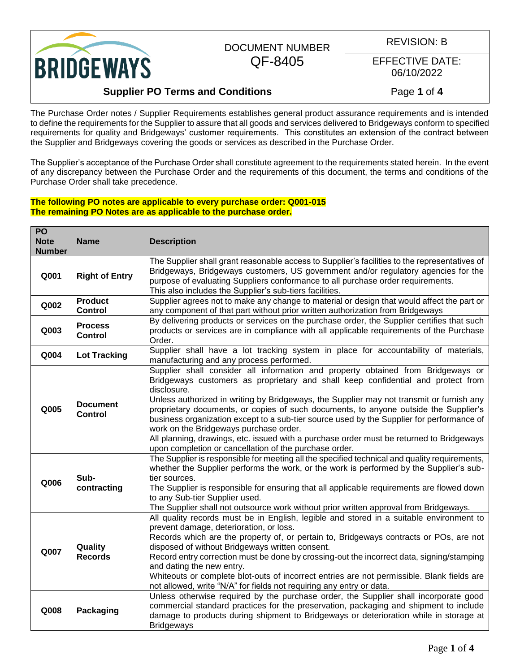

#### DOCUMENT NUMBER QF-8405

REVISION: B

EFFECTIVE DATE: 06/10/2022

#### **Supplier PO Terms and Conditions Page 1** of 4

The Purchase Order notes / Supplier Requirements establishes general product assurance requirements and is intended to define the requirements for the Supplier to assure that all goods and services delivered to Bridgeways conform to specified requirements for quality and Bridgeways' customer requirements. This constitutes an extension of the contract between the Supplier and Bridgeways covering the goods or services as described in the Purchase Order.

The Supplier's acceptance of the Purchase Order shall constitute agreement to the requirements stated herein. In the event of any discrepancy between the Purchase Order and the requirements of this document, the terms and conditions of the Purchase Order shall take precedence.

#### **The following PO notes are applicable to every purchase order: Q001-015 The remaining PO Notes are as applicable to the purchase order.**

| PO<br><b>Note</b><br><b>Number</b> | <b>Name</b>                       | <b>Description</b>                                                                                                                                                                                                                                                                                                                                                                                                                                                                                                                                                                                                                                                   |
|------------------------------------|-----------------------------------|----------------------------------------------------------------------------------------------------------------------------------------------------------------------------------------------------------------------------------------------------------------------------------------------------------------------------------------------------------------------------------------------------------------------------------------------------------------------------------------------------------------------------------------------------------------------------------------------------------------------------------------------------------------------|
| Q001                               | <b>Right of Entry</b>             | The Supplier shall grant reasonable access to Supplier's facilities to the representatives of<br>Bridgeways, Bridgeways customers, US government and/or regulatory agencies for the<br>purpose of evaluating Suppliers conformance to all purchase order requirements.<br>This also includes the Supplier's sub-tiers facilities.                                                                                                                                                                                                                                                                                                                                    |
| Q002                               | <b>Product</b><br><b>Control</b>  | Supplier agrees not to make any change to material or design that would affect the part or<br>any component of that part without prior written authorization from Bridgeways                                                                                                                                                                                                                                                                                                                                                                                                                                                                                         |
| Q003                               | <b>Process</b><br><b>Control</b>  | By delivering products or services on the purchase order, the Supplier certifies that such<br>products or services are in compliance with all applicable requirements of the Purchase<br>Order.                                                                                                                                                                                                                                                                                                                                                                                                                                                                      |
| Q004                               | <b>Lot Tracking</b>               | Supplier shall have a lot tracking system in place for accountability of materials,<br>manufacturing and any process performed.                                                                                                                                                                                                                                                                                                                                                                                                                                                                                                                                      |
| Q005                               | <b>Document</b><br><b>Control</b> | Supplier shall consider all information and property obtained from Bridgeways or<br>Bridgeways customers as proprietary and shall keep confidential and protect from<br>disclosure.<br>Unless authorized in writing by Bridgeways, the Supplier may not transmit or furnish any<br>proprietary documents, or copies of such documents, to anyone outside the Supplier's<br>business organization except to a sub-tier source used by the Supplier for performance of<br>work on the Bridgeways purchase order.<br>All planning, drawings, etc. issued with a purchase order must be returned to Bridgeways<br>upon completion or cancellation of the purchase order. |
| Q006                               | Sub-<br>contracting               | The Supplier is responsible for meeting all the specified technical and quality requirements,<br>whether the Supplier performs the work, or the work is performed by the Supplier's sub-<br>tier sources.<br>The Supplier is responsible for ensuring that all applicable requirements are flowed down<br>to any Sub-tier Supplier used.<br>The Supplier shall not outsource work without prior written approval from Bridgeways.                                                                                                                                                                                                                                    |
| Q007                               | Quality<br><b>Records</b>         | All quality records must be in English, legible and stored in a suitable environment to<br>prevent damage, deterioration, or loss.<br>Records which are the property of, or pertain to, Bridgeways contracts or POs, are not<br>disposed of without Bridgeways written consent.<br>Record entry correction must be done by crossing-out the incorrect data, signing/stamping<br>and dating the new entry.<br>Whiteouts or complete blot-outs of incorrect entries are not permissible. Blank fields are<br>not allowed, write "N/A" for fields not requiring any entry or data.                                                                                      |
| Q008                               | <b>Packaging</b>                  | Unless otherwise required by the purchase order, the Supplier shall incorporate good<br>commercial standard practices for the preservation, packaging and shipment to include<br>damage to products during shipment to Bridgeways or deterioration while in storage at<br><b>Bridgeways</b>                                                                                                                                                                                                                                                                                                                                                                          |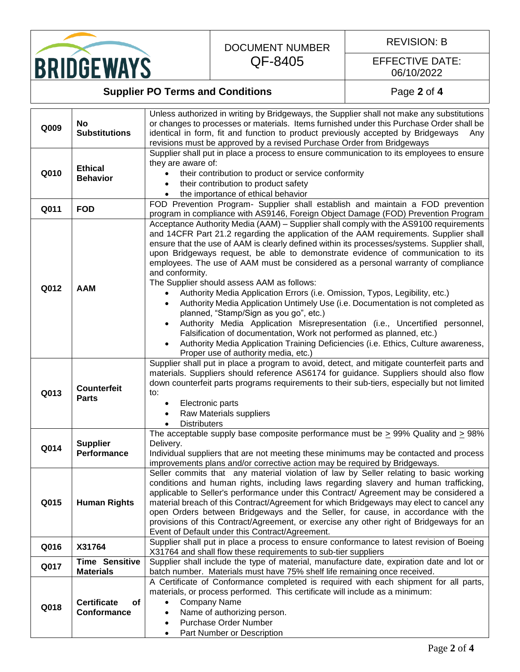

# DOCUMENT NUMBER

QF-8405

REVISION: B

#### EFFECTIVE DATE: 06/10/2022

# **Supplier PO Terms and Conditions Page 2** of 4

|      | <b>No</b>                               | Unless authorized in writing by Bridgeways, the Supplier shall not make any substitutions                                                                                  |
|------|-----------------------------------------|----------------------------------------------------------------------------------------------------------------------------------------------------------------------------|
|      |                                         | or changes to processes or materials. Items furnished under this Purchase Order shall be                                                                                   |
| Q009 | <b>Substitutions</b>                    | identical in form, fit and function to product previously accepted by Bridgeways<br>Any                                                                                    |
|      |                                         | revisions must be approved by a revised Purchase Order from Bridgeways                                                                                                     |
|      |                                         | Supplier shall put in place a process to ensure communication to its employees to ensure                                                                                   |
| Q010 | <b>Ethical</b><br><b>Behavior</b>       | they are aware of:                                                                                                                                                         |
|      |                                         | their contribution to product or service conformity                                                                                                                        |
|      |                                         | their contribution to product safety                                                                                                                                       |
|      |                                         | the importance of ethical behavior                                                                                                                                         |
|      |                                         | FOD Prevention Program- Supplier shall establish and maintain a FOD prevention                                                                                             |
| Q011 | <b>FOD</b>                              |                                                                                                                                                                            |
|      |                                         | program in compliance with AS9146, Foreign Object Damage (FOD) Prevention Program<br>Acceptance Authority Media (AAM) – Supplier shall comply with the AS9100 requirements |
|      |                                         |                                                                                                                                                                            |
|      |                                         | and 14CFR Part 21.2 regarding the application of the AAM requirements. Supplier shall                                                                                      |
|      |                                         | ensure that the use of AAM is clearly defined within its processes/systems. Supplier shall,                                                                                |
|      |                                         | upon Bridgeways request, be able to demonstrate evidence of communication to its                                                                                           |
|      |                                         | employees. The use of AAM must be considered as a personal warranty of compliance                                                                                          |
|      |                                         | and conformity.                                                                                                                                                            |
| Q012 | <b>AAM</b>                              | The Supplier should assess AAM as follows:                                                                                                                                 |
|      |                                         | Authority Media Application Errors (i.e. Omission, Typos, Legibility, etc.)<br>$\bullet$                                                                                   |
|      |                                         | Authority Media Application Untimely Use (i.e. Documentation is not completed as<br>$\bullet$                                                                              |
|      |                                         | planned, "Stamp/Sign as you go", etc.)                                                                                                                                     |
|      |                                         | Authority Media Application Misrepresentation (i.e., Uncertified personnel,<br>٠                                                                                           |
|      |                                         | Falsification of documentation, Work not performed as planned, etc.)                                                                                                       |
|      |                                         | Authority Media Application Training Deficiencies (i.e. Ethics, Culture awareness,                                                                                         |
|      |                                         | Proper use of authority media, etc.)                                                                                                                                       |
|      |                                         | Supplier shall put in place a program to avoid, detect, and mitigate counterfeit parts and                                                                                 |
|      | <b>Counterfeit</b><br><b>Parts</b>      | materials. Suppliers should reference AS6174 for guidance. Suppliers should also flow                                                                                      |
|      |                                         | down counterfeit parts programs requirements to their sub-tiers, especially but not limited                                                                                |
| Q013 |                                         | to:                                                                                                                                                                        |
|      |                                         | Electronic parts<br>٠                                                                                                                                                      |
|      |                                         | Raw Materials suppliers                                                                                                                                                    |
|      |                                         | <b>Distributers</b>                                                                                                                                                        |
|      |                                         | The acceptable supply base composite performance must be $\geq$ 99% Quality and $\geq$ 98%                                                                                 |
| Q014 | <b>Supplier</b>                         | Delivery.                                                                                                                                                                  |
|      | Performance                             | Individual suppliers that are not meeting these minimums may be contacted and process                                                                                      |
|      |                                         | improvements plans and/or corrective action may be required by Bridgeways.                                                                                                 |
|      | <b>Human Rights</b>                     | Seller commits that any material violation of law by Seller relating to basic working                                                                                      |
|      |                                         | conditions and human rights, including laws regarding slavery and human trafficking,                                                                                       |
|      |                                         | applicable to Seller's performance under this Contract/ Agreement may be considered a                                                                                      |
| Q015 |                                         | material breach of this Contract/Agreement for which Bridgeways may elect to cancel any                                                                                    |
|      |                                         | open Orders between Bridgeways and the Seller, for cause, in accordance with the                                                                                           |
|      |                                         | provisions of this Contract/Agreement, or exercise any other right of Bridgeways for an                                                                                    |
|      |                                         | Event of Default under this Contract/Agreement.                                                                                                                            |
| Q016 | X31764                                  | Supplier shall put in place a process to ensure conformance to latest revision of Boeing                                                                                   |
|      |                                         | X31764 and shall flow these requirements to sub-tier suppliers                                                                                                             |
| Q017 | <b>Time Sensitive</b>                   | Supplier shall include the type of material, manufacture date, expiration date and lot or                                                                                  |
|      | <b>Materials</b>                        | batch number. Materials must have 75% shelf life remaining once received.                                                                                                  |
|      | <b>Certificate</b><br>of<br>Conformance | A Certificate of Conformance completed is required with each shipment for all parts,                                                                                       |
|      |                                         | materials, or process performed. This certificate will include as a minimum:                                                                                               |
| Q018 |                                         | Company Name                                                                                                                                                               |
|      |                                         | Name of authorizing person.                                                                                                                                                |
|      |                                         | Purchase Order Number                                                                                                                                                      |
|      |                                         | Part Number or Description<br>$\bullet$                                                                                                                                    |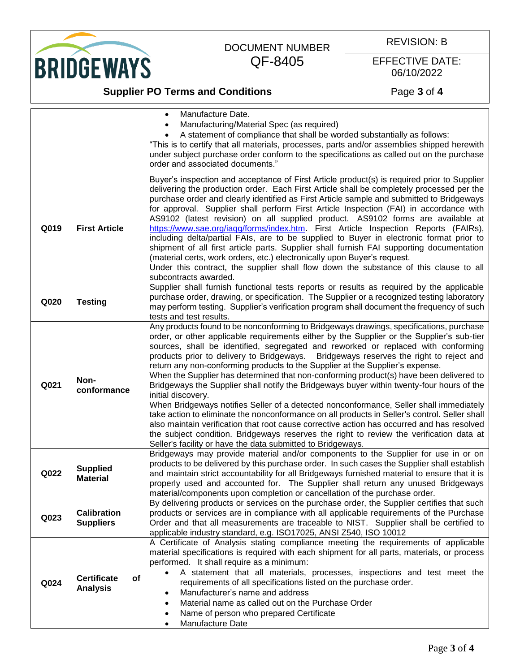BRIDGEWAYS

# DOCUMENT NUMBER QF-8405

REVISION: B

#### EFFECTIVE DATE: 06/10/2022

### **Supplier PO Terms and Conditions Page 3** of 4

|      |                                             | Manufacture Date.<br>$\bullet$<br>Manufacturing/Material Spec (as required)<br>A statement of compliance that shall be worded substantially as follows:<br>"This is to certify that all materials, processes, parts and/or assemblies shipped herewith<br>under subject purchase order conform to the specifications as called out on the purchase                                                                                                                                                                                                                                                                                                                                                                                                                                                                                                                                                                                                                                                                                                                                                                  |
|------|---------------------------------------------|---------------------------------------------------------------------------------------------------------------------------------------------------------------------------------------------------------------------------------------------------------------------------------------------------------------------------------------------------------------------------------------------------------------------------------------------------------------------------------------------------------------------------------------------------------------------------------------------------------------------------------------------------------------------------------------------------------------------------------------------------------------------------------------------------------------------------------------------------------------------------------------------------------------------------------------------------------------------------------------------------------------------------------------------------------------------------------------------------------------------|
|      |                                             | order and associated documents."                                                                                                                                                                                                                                                                                                                                                                                                                                                                                                                                                                                                                                                                                                                                                                                                                                                                                                                                                                                                                                                                                    |
| Q019 | <b>First Article</b>                        | Buyer's inspection and acceptance of First Article product(s) is required prior to Supplier<br>delivering the production order. Each First Article shall be completely processed per the<br>purchase order and clearly identified as First Article sample and submitted to Bridgeways<br>for approval. Supplier shall perform First Article Inspection (FAI) in accordance with<br>AS9102 (latest revision) on all supplied product. AS9102 forms are available at<br>https://www.sae.org/iaqg/forms/index.htm. First Article Inspection Reports (FAIRs),<br>including delta/partial FAIs, are to be supplied to Buyer in electronic format prior to<br>shipment of all first article parts. Supplier shall furnish FAI supporting documentation<br>(material certs, work orders, etc.) electronically upon Buyer's request.<br>Under this contract, the supplier shall flow down the substance of this clause to all<br>subcontracts awarded.                                                                                                                                                                      |
| Q020 | <b>Testing</b>                              | Supplier shall furnish functional tests reports or results as required by the applicable<br>purchase order, drawing, or specification. The Supplier or a recognized testing laboratory<br>may perform testing. Supplier's verification program shall document the frequency of such<br>tests and test results.                                                                                                                                                                                                                                                                                                                                                                                                                                                                                                                                                                                                                                                                                                                                                                                                      |
| Q021 | Non-<br>conformance                         | Any products found to be nonconforming to Bridgeways drawings, specifications, purchase<br>order, or other applicable requirements either by the Supplier or the Supplier's sub-tier<br>sources, shall be identified, segregated and reworked or replaced with conforming<br>products prior to delivery to Bridgeways. Bridgeways reserves the right to reject and<br>return any non-conforming products to the Supplier at the Supplier's expense.<br>When the Supplier has determined that non-conforming product(s) have been delivered to<br>Bridgeways the Supplier shall notify the Bridgeways buyer within twenty-four hours of the<br>initial discovery.<br>When Bridgeways notifies Seller of a detected nonconformance, Seller shall immediately<br>take action to eliminate the nonconformance on all products in Seller's control. Seller shall<br>also maintain verification that root cause corrective action has occurred and has resolved<br>the subject condition. Bridgeways reserves the right to review the verification data at<br>Seller's facility or have the data submitted to Bridgeways. |
| Q022 | <b>Supplied</b><br><b>Material</b>          | Bridgeways may provide material and/or components to the Supplier for use in or on<br>products to be delivered by this purchase order. In such cases the Supplier shall establish<br>and maintain strict accountability for all Bridgeways furnished material to ensure that it is<br>properly used and accounted for. The Supplier shall return any unused Bridgeways<br>material/components upon completion or cancellation of the purchase order.                                                                                                                                                                                                                                                                                                                                                                                                                                                                                                                                                                                                                                                                |
| Q023 | <b>Calibration</b><br><b>Suppliers</b>      | By delivering products or services on the purchase order, the Supplier certifies that such<br>products or services are in compliance with all applicable requirements of the Purchase<br>Order and that all measurements are traceable to NIST. Supplier shall be certified to<br>applicable industry standard, e.g. ISO17025, ANSI Z540, ISO 10012                                                                                                                                                                                                                                                                                                                                                                                                                                                                                                                                                                                                                                                                                                                                                                 |
| Q024 | <b>Certificate</b><br>of<br><b>Analysis</b> | A Certificate of Analysis stating compliance meeting the requirements of applicable<br>material specifications is required with each shipment for all parts, materials, or process<br>performed. It shall require as a minimum:<br>A statement that all materials, processes, inspections and test meet the<br>requirements of all specifications listed on the purchase order.<br>Manufacturer's name and address<br>Material name as called out on the Purchase Order<br>Name of person who prepared Certificate<br>Manufacture Date                                                                                                                                                                                                                                                                                                                                                                                                                                                                                                                                                                              |